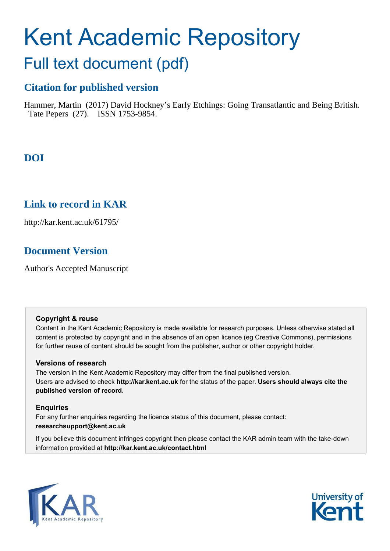# Kent Academic Repository

# Full text document (pdf)

## **Citation for published version**

Hammer, Martin (2017) David Hockney's Early Etchings: Going Transatlantic and Being British. Tate Pepers (27). ISSN 1753-9854.

# **DOI**

### **Link to record in KAR**

http://kar.kent.ac.uk/61795/

# **Document Version**

Author's Accepted Manuscript

#### **Copyright & reuse**

Content in the Kent Academic Repository is made available for research purposes. Unless otherwise stated all content is protected by copyright and in the absence of an open licence (eg Creative Commons), permissions for further reuse of content should be sought from the publisher, author or other copyright holder.

#### **Versions of research**

The version in the Kent Academic Repository may differ from the final published version. Users are advised to check **http://kar.kent.ac.uk** for the status of the paper. **Users should always cite the published version of record.**

#### **Enquiries**

For any further enquiries regarding the licence status of this document, please contact: **researchsupport@kent.ac.uk**

If you believe this document infringes copyright then please contact the KAR admin team with the take-down information provided at **http://kar.kent.ac.uk/contact.html**



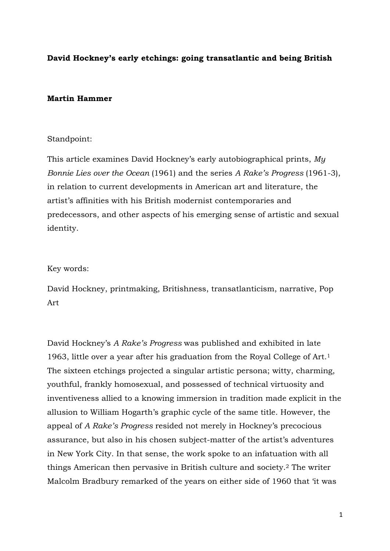#### **David Hockney's early etchings: going transatlantic and being British**

#### **Martin Hammer**

#### Standpoint:

This article examines David Hockney's early autobiographical prints, *My Bonnie Lies over the Ocean* (1961) and the series *A Rake's Progress* (1961-3), in relation to current developments in American art and literature, the artist's affinities with his British modernist contemporaries and predecessors, and other aspects of his emerging sense of artistic and sexual identity.

#### Key words:

David Hockney, printmaking, Britishness, transatlanticism, narrative, Pop Art

David Hockney's *A Rake's Progress* was published and exhibited in late 1963, little over a year after his graduation from the Royal College of Art. 1 The sixteen etchings projected a singular artistic persona; witty, charming, youthful, frankly homosexual, and possessed of technical virtuosity and inventiveness allied to a knowing immersion in tradition made explicit in the allusion to William Hogarth's graphic cycle of the same title. However, the appeal of *A Rake's Progress* resided not merely in Hockney's precocious assurance, but also in his chosen subject-matter of the artist's adventures in New York City. In that sense, the work spoke to an infatuation with all things American then pervasive in British culture and society.<sup>2</sup> The writer Malcolm Bradbury remarked of the years on either side of 1960 that 'it was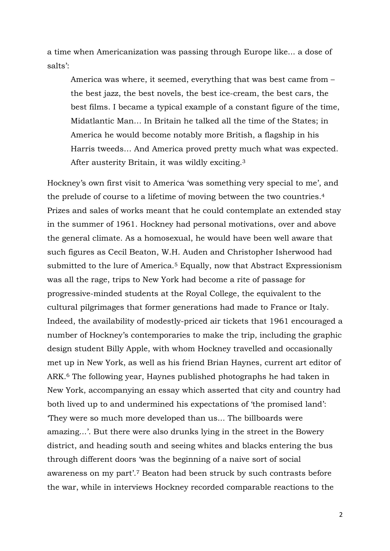a time when Americanization was passing through Europe like... a dose of salts':

America was where, it seemed, everything that was best came from – the best jazz, the best novels, the best ice-cream, the best cars, the best films. I became a typical example of a constant figure of the time, Midatlantic Man… In Britain he talked all the time of the States; in America he would become notably more British, a flagship in his Harris tweeds… And America proved pretty much what was expected. After austerity Britain, it was wildly exciting.<sup>3</sup>

Hockney's own first visit to America 'was something very special to me', and the prelude of course to a lifetime of moving between the two countries.<sup>4</sup> Prizes and sales of works meant that he could contemplate an extended stay in the summer of 1961. Hockney had personal motivations, over and above the general climate. As a homosexual, he would have been well aware that such figures as Cecil Beaton, W.H. Auden and Christopher Isherwood had submitted to the lure of America.<sup>5</sup> Equally, now that Abstract Expressionism was all the rage, trips to New York had become a rite of passage for progressive-minded students at the Royal College, the equivalent to the cultural pilgrimages that former generations had made to France or Italy. Indeed, the availability of modestly-priced air tickets that 1961 encouraged a number of Hockney's contemporaries to make the trip, including the graphic design student Billy Apple, with whom Hockney travelled and occasionally met up in New York, as well as his friend Brian Haynes, current art editor of ARK.<sup>6</sup> The following year, Haynes published photographs he had taken in New York, accompanying an essay which asserted that city and country had both lived up to and undermined his expectations of 'the promised land': 'They were so much more developed than us... The billboards were amazing...'. But there were also drunks lying in the street in the Bowery district, and heading south and seeing whites and blacks entering the bus through different doors 'was the beginning of a naive sort of social awareness on my part'.<sup>7</sup> Beaton had been struck by such contrasts before the war, while in interviews Hockney recorded comparable reactions to the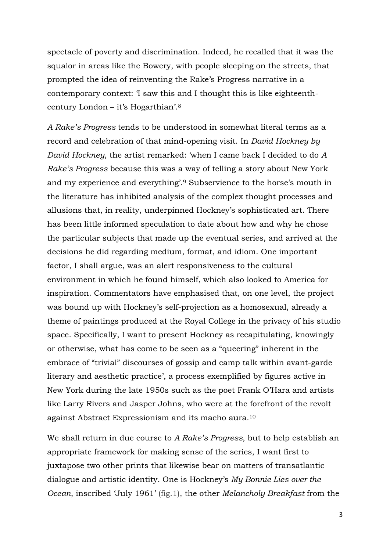spectacle of poverty and discrimination. Indeed, he recalled that it was the squalor in areas like the Bowery, with people sleeping on the streets, that prompted the idea of reinventing the Rake's Progress narrative in a contemporary context: 'I saw this and I thought this is like eighteenthcentury London – it's Hogarthian'.<sup>8</sup>

*A Rake's Progress* tends to be understood in somewhat literal terms as a record and celebration of that mind-opening visit. In *David Hockney by David Hockney*, the artist remarked: 'when I came back I decided to do *A Rake's Progress* because this was a way of telling a story about New York and my experience and everything'. <sup>9</sup> Subservience to the horse's mouth in the literature has inhibited analysis of the complex thought processes and allusions that, in reality, underpinned Hockney's sophisticated art. There has been little informed speculation to date about how and why he chose the particular subjects that made up the eventual series, and arrived at the decisions he did regarding medium, format, and idiom. One important factor, I shall argue, was an alert responsiveness to the cultural environment in which he found himself, which also looked to America for inspiration. Commentators have emphasised that, on one level, the project was bound up with Hockney's self-projection as a homosexual, already a theme of paintings produced at the Royal College in the privacy of his studio space. Specifically, I want to present Hockney as recapitulating, knowingly or otherwise, what has come to be seen as a "queering" inherent in the embrace of "trivial" discourses of gossip and camp talk within avant-garde literary and aesthetic practice', a process exemplified by figures active in New York during the late 1950s such as the poet Frank O'Hara and artists like Larry Rivers and Jasper Johns, who were at the forefront of the revolt against Abstract Expressionism and its macho aura.<sup>10</sup>

We shall return in due course to *A Rake's Progress*, but to help establish an appropriate framework for making sense of the series, I want first to juxtapose two other prints that likewise bear on matters of transatlantic dialogue and artistic identity. One is Hockney's *My Bonnie Lies over the Ocean*, inscribed 'July 1961' (fig.1), the other *Melancholy Breakfast* from the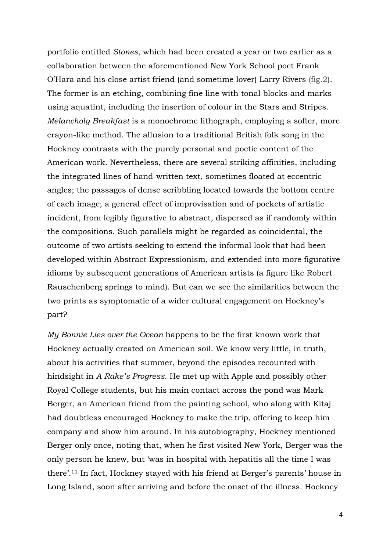portfolio entitled *Stones*, which had been created a year or two earlier as a collaboration between the aforementioned New York School poet Frank O'Hara and his close artist friend (and sometime lover) Larry Rivers (fig.2). The former is an etching, combining fine line with tonal blocks and marks using aquatint, including the insertion of colour in the Stars and Stripes. *Melancholy Breakfast* is a monochrome lithograph, employing a softer, more crayon-like method. The allusion to a traditional British folk song in the Hockney contrasts with the purely personal and poetic content of the American work. Nevertheless, there are several striking affinities, including the integrated lines of hand-written text, sometimes floated at eccentric angles; the passages of dense scribbling located towards the bottom centre of each image; a general effect of improvisation and of pockets of artistic incident, from legibly figurative to abstract, dispersed as if randomly within the compositions. Such parallels might be regarded as coincidental, the outcome of two artists seeking to extend the informal look that had been developed within Abstract Expressionism, and extended into more figurative idioms by subsequent generations of American artists (a figure like Robert Rauschenberg springs to mind). But can we see the similarities between the two prints as symptomatic of a wider cultural engagement on Hockney's part?

*My Bonnie Lies over the Ocean* happens to be the first known work that Hockney actually created on American soil. We know very little, in truth, about his activities that summer, beyond the episodes recounted with hindsight in *A Rake's Progress*. He met up with Apple and possibly other Royal College students, but his main contact across the pond was Mark Berger, an American friend from the painting school, who along with Kitaj had doubtless encouraged Hockney to make the trip, offering to keep him company and show him around. In his autobiography, Hockney mentioned Berger only once, noting that, when he first visited New York, Berger was the only person he knew, but 'was in hospital with hepatitis all the time I was there'.<sup>11</sup> In fact, Hockney stayed with his friend at Berger's parents' house in Long Island, soon after arriving and before the onset of the illness. Hockney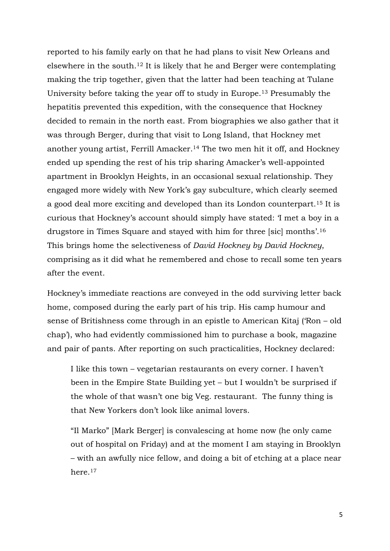reported to his family early on that he had plans to visit New Orleans and elsewhere in the south.<sup>12</sup> It is likely that he and Berger were contemplating making the trip together, given that the latter had been teaching at Tulane University before taking the year off to study in Europe. <sup>13</sup> Presumably the hepatitis prevented this expedition, with the consequence that Hockney decided to remain in the north east. From biographies we also gather that it was through Berger, during that visit to Long Island, that Hockney met another young artist, Ferrill Amacker. <sup>14</sup> The two men hit it off, and Hockney ended up spending the rest of his trip sharing Amacker's well-appointed apartment in Brooklyn Heights, in an occasional sexual relationship. They engaged more widely with New York's gay subculture, which clearly seemed a good deal more exciting and developed than its London counterpart.<sup>15</sup> It is curious that Hockney's account should simply have stated: 'I met a boy in a drugstore in Times Square and stayed with him for three [sic] months'.<sup>16</sup> This brings home the selectiveness of *David Hockney by David Hockney*, comprising as it did what he remembered and chose to recall some ten years after the event.

Hockney's immediate reactions are conveyed in the odd surviving letter back home, composed during the early part of his trip. His camp humour and sense of Britishness come through in an epistle to American Kitaj ('Ron – old chap'), who had evidently commissioned him to purchase a book, magazine and pair of pants. After reporting on such practicalities, Hockney declared:

I like this town – vegetarian restaurants on every corner. I haven't been in the Empire State Building yet – but I wouldn't be surprised if the whole of that wasn't one big Veg. restaurant. The funny thing is that New Yorkers don't look like animal lovers.

"Il Marko" [Mark Berger] is convalescing at home now (he only came out of hospital on Friday) and at the moment I am staying in Brooklyn – with an awfully nice fellow, and doing a bit of etching at a place near here 17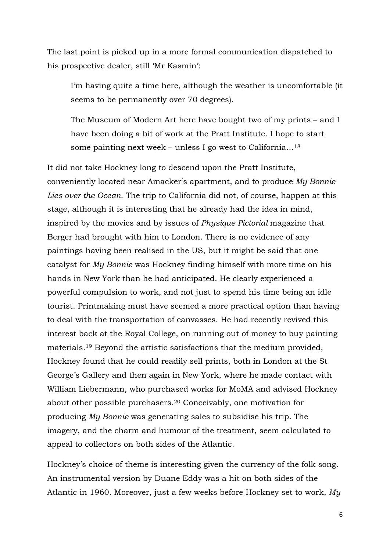The last point is picked up in a more formal communication dispatched to his prospective dealer, still 'Mr Kasmin':

I'm having quite a time here, although the weather is uncomfortable (it seems to be permanently over 70 degrees).

The Museum of Modern Art here have bought two of my prints – and I have been doing a bit of work at the Pratt Institute. I hope to start some painting next week – unless I go west to California…<sup>18</sup>

It did not take Hockney long to descend upon the Pratt Institute, conveniently located near Amacker's apartment, and to produce *My Bonnie Lies over the Ocean*. The trip to California did not, of course, happen at this stage, although it is interesting that he already had the idea in mind, inspired by the movies and by issues of *Physique Pictorial* magazine that Berger had brought with him to London. There is no evidence of any paintings having been realised in the US, but it might be said that one catalyst for *My Bonnie* was Hockney finding himself with more time on his hands in New York than he had anticipated. He clearly experienced a powerful compulsion to work, and not just to spend his time being an idle tourist. Printmaking must have seemed a more practical option than having to deal with the transportation of canvasses. He had recently revived this interest back at the Royal College, on running out of money to buy painting materials.<sup>19</sup> Beyond the artistic satisfactions that the medium provided, Hockney found that he could readily sell prints, both in London at the St George's Gallery and then again in New York, where he made contact with William Liebermann, who purchased works for MoMA and advised Hockney about other possible purchasers.<sup>20</sup> Conceivably, one motivation for producing *My Bonnie* was generating sales to subsidise his trip. The imagery, and the charm and humour of the treatment, seem calculated to appeal to collectors on both sides of the Atlantic.

Hockney's choice of theme is interesting given the currency of the folk song. An instrumental version by Duane Eddy was a hit on both sides of the Atlantic in 1960. Moreover, just a few weeks before Hockney set to work, *My*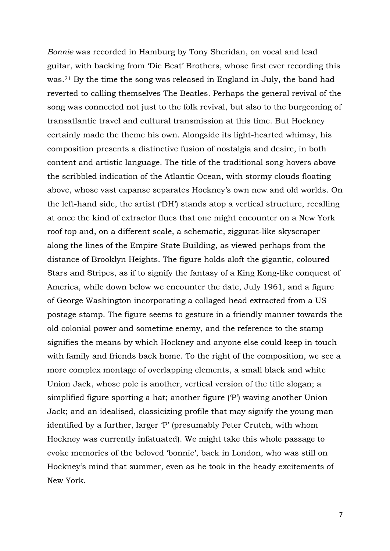*Bonnie* was recorded in Hamburg by Tony Sheridan, on vocal and lead guitar, with backing from 'Die Beat' Brothers, whose first ever recording this was.<sup>21</sup> By the time the song was released in England in July, the band had reverted to calling themselves The Beatles. Perhaps the general revival of the song was connected not just to the folk revival, but also to the burgeoning of transatlantic travel and cultural transmission at this time. But Hockney certainly made the theme his own. Alongside its light-hearted whimsy, his composition presents a distinctive fusion of nostalgia and desire, in both content and artistic language. The title of the traditional song hovers above the scribbled indication of the Atlantic Ocean, with stormy clouds floating above, whose vast expanse separates Hockney's own new and old worlds. On the left-hand side, the artist ('DH') stands atop a vertical structure, recalling at once the kind of extractor flues that one might encounter on a New York roof top and, on a different scale, a schematic, ziggurat-like skyscraper along the lines of the Empire State Building, as viewed perhaps from the distance of Brooklyn Heights. The figure holds aloft the gigantic, coloured Stars and Stripes, as if to signify the fantasy of a King Kong-like conquest of America, while down below we encounter the date, July 1961, and a figure of George Washington incorporating a collaged head extracted from a US postage stamp. The figure seems to gesture in a friendly manner towards the old colonial power and sometime enemy, and the reference to the stamp signifies the means by which Hockney and anyone else could keep in touch with family and friends back home. To the right of the composition, we see a more complex montage of overlapping elements, a small black and white Union Jack, whose pole is another, vertical version of the title slogan; a simplified figure sporting a hat; another figure ('P') waving another Union Jack; and an idealised, classicizing profile that may signify the young man identified by a further, larger 'P' (presumably Peter Crutch, with whom Hockney was currently infatuated). We might take this whole passage to evoke memories of the beloved 'bonnie', back in London, who was still on Hockney's mind that summer, even as he took in the heady excitements of New York.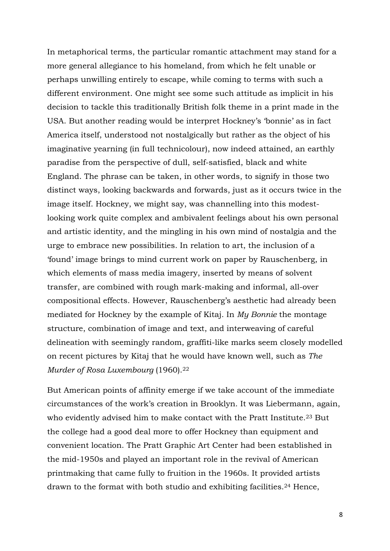In metaphorical terms, the particular romantic attachment may stand for a more general allegiance to his homeland, from which he felt unable or perhaps unwilling entirely to escape, while coming to terms with such a different environment. One might see some such attitude as implicit in his decision to tackle this traditionally British folk theme in a print made in the USA. But another reading would be interpret Hockney's 'bonnie' as in fact America itself, understood not nostalgically but rather as the object of his imaginative yearning (in full technicolour), now indeed attained, an earthly paradise from the perspective of dull, self-satisfied, black and white England. The phrase can be taken, in other words, to signify in those two distinct ways, looking backwards and forwards, just as it occurs twice in the image itself. Hockney, we might say, was channelling into this modestlooking work quite complex and ambivalent feelings about his own personal and artistic identity, and the mingling in his own mind of nostalgia and the urge to embrace new possibilities. In relation to art, the inclusion of a 'found' image brings to mind current work on paper by Rauschenberg, in which elements of mass media imagery, inserted by means of solvent transfer, are combined with rough mark-making and informal, all-over compositional effects. However, Rauschenberg's aesthetic had already been mediated for Hockney by the example of Kitaj. In *My Bonnie* the montage structure, combination of image and text, and interweaving of careful delineation with seemingly random, graffiti-like marks seem closely modelled on recent pictures by Kitaj that he would have known well, such as *The Murder of Rosa Luxembourg* (1960).<sup>22</sup>

But American points of affinity emerge if we take account of the immediate circumstances of the work's creation in Brooklyn. It was Liebermann, again, who evidently advised him to make contact with the Pratt Institute.<sup>23</sup> But the college had a good deal more to offer Hockney than equipment and convenient location. The Pratt Graphic Art Center had been established in the mid-1950s and played an important role in the revival of American printmaking that came fully to fruition in the 1960s. It provided artists drawn to the format with both studio and exhibiting facilities.<sup>24</sup> Hence,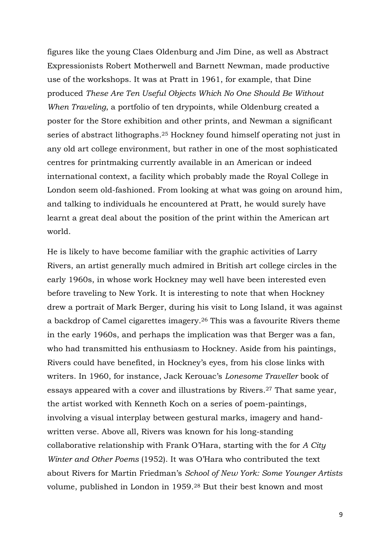figures like the young Claes Oldenburg and Jim Dine, as well as Abstract Expressionists Robert Motherwell and Barnett Newman, made productive use of the workshops. It was at Pratt in 1961, for example, that Dine produced *These Are Ten Useful Objects Which No One Should Be Without When Traveling*, a portfolio of ten drypoints, while Oldenburg created a poster for the Store exhibition and other prints, and Newman a significant series of abstract lithographs.<sup>25</sup> Hockney found himself operating not just in any old art college environment, but rather in one of the most sophisticated centres for printmaking currently available in an American or indeed international context, a facility which probably made the Royal College in London seem old-fashioned. From looking at what was going on around him, and talking to individuals he encountered at Pratt, he would surely have learnt a great deal about the position of the print within the American art world.

He is likely to have become familiar with the graphic activities of Larry Rivers, an artist generally much admired in British art college circles in the early 1960s, in whose work Hockney may well have been interested even before traveling to New York. It is interesting to note that when Hockney drew a portrait of Mark Berger, during his visit to Long Island, it was against a backdrop of Camel cigarettes imagery.<sup>26</sup> This was a favourite Rivers theme in the early 1960s, and perhaps the implication was that Berger was a fan, who had transmitted his enthusiasm to Hockney. Aside from his paintings, Rivers could have benefited, in Hockney's eyes, from his close links with writers. In 1960, for instance, Jack Kerouac's *Lonesome Traveller* book of essays appeared with a cover and illustrations by Rivers.<sup>27</sup> That same year, the artist worked with Kenneth Koch on a series of poem-paintings, involving a visual interplay between gestural marks, imagery and handwritten verse. Above all, Rivers was known for his long-standing collaborative relationship with Frank O'Hara, starting with the for *A City Winter and Other Poems* (1952). It was O'Hara who contributed the text about Rivers for Martin Friedman's *School of New York: Some Younger Artists* volume, published in London in 1959. 28 But their best known and most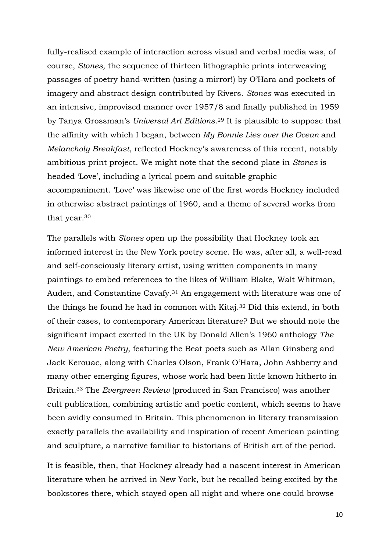fully-realised example of interaction across visual and verbal media was, of course, *Stones,* the sequence of thirteen lithographic prints interweaving passages of poetry hand-written (using a mirror!) by O'Hara and pockets of imagery and abstract design contributed by Rivers. *Stones* was executed in an intensive, improvised manner over 1957/8 and finally published in 1959 by Tanya Grossman's *Universal Art Editions*. <sup>29</sup> It is plausible to suppose that the affinity with which I began, between *My Bonnie Lies over the Ocean* and *Melancholy Breakfast*, reflected Hockney's awareness of this recent, notably ambitious print project. We might note that the second plate in *Stones* is headed 'Love', including a lyrical poem and suitable graphic accompaniment. 'Love' was likewise one of the first words Hockney included in otherwise abstract paintings of 1960, and a theme of several works from that year.<sup>30</sup>

The parallels with *Stones* open up the possibility that Hockney took an informed interest in the New York poetry scene. He was, after all, a well-read and self-consciously literary artist, using written components in many paintings to embed references to the likes of William Blake, Walt Whitman, Auden, and Constantine Cavafy.<sup>31</sup> An engagement with literature was one of the things he found he had in common with Kitaj.<sup>32</sup> Did this extend, in both of their cases, to contemporary American literature? But we should note the significant impact exerted in the UK by Donald Allen's 1960 anthology *The New American Poetry*, featuring the Beat poets such as Allan Ginsberg and Jack Kerouac, along with Charles Olson, Frank O'Hara, John Ashberry and many other emerging figures, whose work had been little known hitherto in Britain.<sup>33</sup> The *Evergreen Review* (produced in San Francisco) was another cult publication, combining artistic and poetic content, which seems to have been avidly consumed in Britain. This phenomenon in literary transmission exactly parallels the availability and inspiration of recent American painting and sculpture, a narrative familiar to historians of British art of the period.

It is feasible, then, that Hockney already had a nascent interest in American literature when he arrived in New York, but he recalled being excited by the bookstores there, which stayed open all night and where one could browse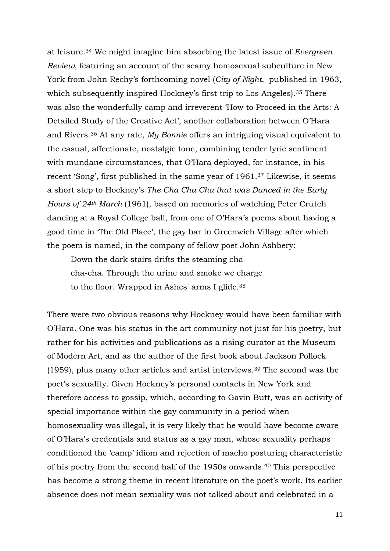at leisure.<sup>34</sup> We might imagine him absorbing the latest issue of *Evergreen Review*, featuring an account of the seamy homosexual subculture in New York from John Rechy's forthcoming novel (*City of Night*, published in 1963, which subsequently inspired Hockney's first trip to Los Angeles).<sup>35</sup> There was also the wonderfully camp and irreverent 'How to Proceed in the Arts: A Detailed Study of the Creative Act', another collaboration between O'Hara and Rivers.<sup>36</sup> At any rate, *My Bonnie* offers an intriguing visual equivalent to the casual, affectionate, nostalgic tone, combining tender lyric sentiment with mundane circumstances, that O'Hara deployed, for instance, in his recent 'Song', first published in the same year of 1961.<sup>37</sup> Likewise, it seems a short step to Hockney's *The Cha Cha Cha that was Danced in the Early Hours of 24th March* (1961), based on memories of watching Peter Crutch dancing at a Royal College ball, from one of O'Hara's poems about having a good time in 'The Old Place', the gay bar in Greenwich Village after which the poem is named, in the company of fellow poet John Ashbery:

Down the dark stairs drifts the steaming chacha-cha. Through the urine and smoke we charge to the floor. Wrapped in Ashes' arms I glide.<sup>38</sup>

There were two obvious reasons why Hockney would have been familiar with O'Hara. One was his status in the art community not just for his poetry, but rather for his activities and publications as a rising curator at the Museum of Modern Art, and as the author of the first book about Jackson Pollock (1959), plus many other articles and artist interviews.<sup>39</sup> The second was the poet's sexuality. Given Hockney's personal contacts in New York and therefore access to gossip, which, according to Gavin Butt, was an activity of special importance within the gay community in a period when homosexuality was illegal, it is very likely that he would have become aware of O'Hara's credentials and status as a gay man, whose sexuality perhaps conditioned the 'camp' idiom and rejection of macho posturing characteristic of his poetry from the second half of the 1950s onwards.<sup>40</sup> This perspective has become a strong theme in recent literature on the poet's work. Its earlier absence does not mean sexuality was not talked about and celebrated in a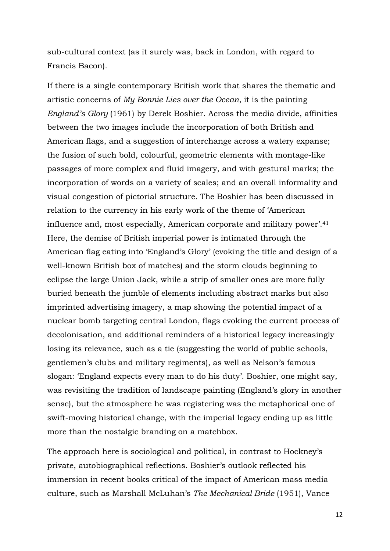sub-cultural context (as it surely was, back in London, with regard to Francis Bacon).

If there is a single contemporary British work that shares the thematic and artistic concerns of *My Bonnie Lies over the Ocean*, it is the painting *England's Glory* (1961) by Derek Boshier. Across the media divide, affinities between the two images include the incorporation of both British and American flags, and a suggestion of interchange across a watery expanse; the fusion of such bold, colourful, geometric elements with montage-like passages of more complex and fluid imagery, and with gestural marks; the incorporation of words on a variety of scales; and an overall informality and visual congestion of pictorial structure. The Boshier has been discussed in relation to the currency in his early work of the theme of 'American influence and, most especially, American corporate and military power'.<sup>41</sup> Here, the demise of British imperial power is intimated through the American flag eating into 'England's Glory' (evoking the title and design of a well-known British box of matches) and the storm clouds beginning to eclipse the large Union Jack, while a strip of smaller ones are more fully buried beneath the jumble of elements including abstract marks but also imprinted advertising imagery, a map showing the potential impact of a nuclear bomb targeting central London, flags evoking the current process of decolonisation, and additional reminders of a historical legacy increasingly losing its relevance, such as a tie (suggesting the world of public schools, gentlemen's clubs and military regiments), as well as Nelson's famous slogan: 'England expects every man to do his duty'. Boshier, one might say, was revisiting the tradition of landscape painting (England's glory in another sense), but the atmosphere he was registering was the metaphorical one of swift-moving historical change, with the imperial legacy ending up as little more than the nostalgic branding on a matchbox.

The approach here is sociological and political, in contrast to Hockney's private, autobiographical reflections. Boshier's outlook reflected his immersion in recent books critical of the impact of American mass media culture, such as Marshall McLuhan's *The Mechanical Bride* (1951), Vance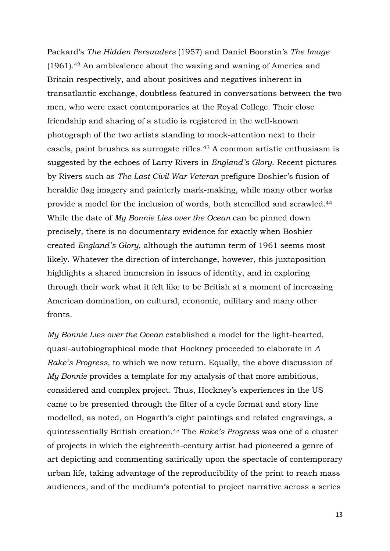Packard's *The Hidden Persuaders* (1957) and Daniel Boorstin's *The Image* (1961).<sup>42</sup> An ambivalence about the waxing and waning of America and Britain respectively, and about positives and negatives inherent in transatlantic exchange, doubtless featured in conversations between the two men, who were exact contemporaries at the Royal College. Their close friendship and sharing of a studio is registered in the well-known photograph of the two artists standing to mock-attention next to their easels, paint brushes as surrogate rifles.<sup>43</sup> A common artistic enthusiasm is suggested by the echoes of Larry Rivers in *England's Glory*. Recent pictures by Rivers such as *The Last Civil War Veteran* prefigure Boshier's fusion of heraldic flag imagery and painterly mark-making, while many other works provide a model for the inclusion of words, both stencilled and scrawled.<sup>44</sup> While the date of *My Bonnie Lies over the Ocean* can be pinned down precisely, there is no documentary evidence for exactly when Boshier created *England's Glory*, although the autumn term of 1961 seems most likely. Whatever the direction of interchange, however, this juxtaposition highlights a shared immersion in issues of identity, and in exploring through their work what it felt like to be British at a moment of increasing American domination, on cultural, economic, military and many other fronts.

*My Bonnie Lies over the Ocean* established a model for the light-hearted, quasi-autobiographical mode that Hockney proceeded to elaborate in *A Rake's Progress*, to which we now return. Equally, the above discussion of *My Bonnie* provides a template for my analysis of that more ambitious, considered and complex project. Thus, Hockney's experiences in the US came to be presented through the filter of a cycle format and story line modelled, as noted, on Hogarth's eight paintings and related engravings, a quintessentially British creation.<sup>45</sup> The *Rake's Progress* was one of a cluster of projects in which the eighteenth-century artist had pioneered a genre of art depicting and commenting satirically upon the spectacle of contemporary urban life, taking advantage of the reproducibility of the print to reach mass audiences, and of the medium's potential to project narrative across a series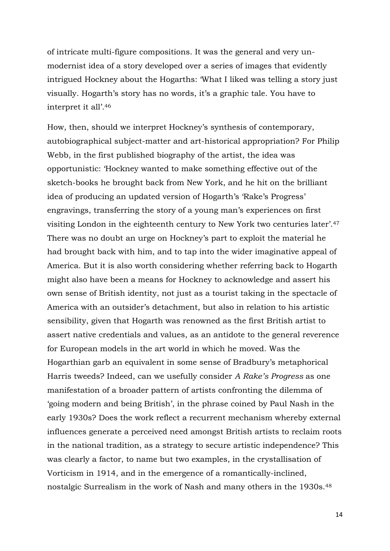of intricate multi-figure compositions. It was the general and very unmodernist idea of a story developed over a series of images that evidently intrigued Hockney about the Hogarths: 'What I liked was telling a story just visually. Hogarth's story has no words, it's a graphic tale. You have to interpret it all'.<sup>46</sup>

How, then, should we interpret Hockney's synthesis of contemporary, autobiographical subject-matter and art-historical appropriation? For Philip Webb, in the first published biography of the artist, the idea was opportunistic: 'Hockney wanted to make something effective out of the sketch-books he brought back from New York, and he hit on the brilliant idea of producing an updated version of Hogarth's 'Rake's Progress' engravings, transferring the story of a young man's experiences on first visiting London in the eighteenth century to New York two centuries later'.<sup>47</sup> There was no doubt an urge on Hockney's part to exploit the material he had brought back with him, and to tap into the wider imaginative appeal of America. But it is also worth considering whether referring back to Hogarth might also have been a means for Hockney to acknowledge and assert his own sense of British identity, not just as a tourist taking in the spectacle of America with an outsider's detachment, but also in relation to his artistic sensibility, given that Hogarth was renowned as the first British artist to assert native credentials and values, as an antidote to the general reverence for European models in the art world in which he moved. Was the Hogarthian garb an equivalent in some sense of Bradbury's metaphorical Harris tweeds? Indeed, can we usefully consider *A Rake's Progress* as one manifestation of a broader pattern of artists confronting the dilemma of 'going modern and being British', in the phrase coined by Paul Nash in the early 1930s? Does the work reflect a recurrent mechanism whereby external influences generate a perceived need amongst British artists to reclaim roots in the national tradition, as a strategy to secure artistic independence? This was clearly a factor, to name but two examples, in the crystallisation of Vorticism in 1914, and in the emergence of a romantically-inclined, nostalgic Surrealism in the work of Nash and many others in the 1930s.48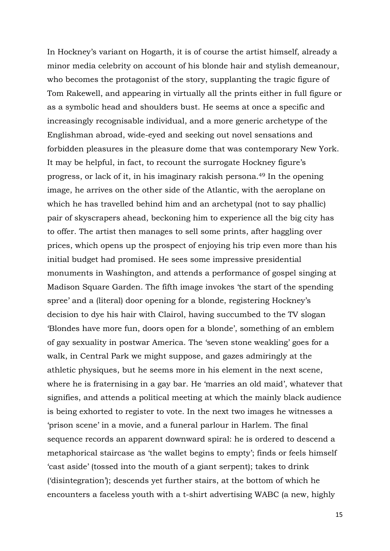In Hockney's variant on Hogarth, it is of course the artist himself, already a minor media celebrity on account of his blonde hair and stylish demeanour, who becomes the protagonist of the story, supplanting the tragic figure of Tom Rakewell, and appearing in virtually all the prints either in full figure or as a symbolic head and shoulders bust. He seems at once a specific and increasingly recognisable individual, and a more generic archetype of the Englishman abroad, wide-eyed and seeking out novel sensations and forbidden pleasures in the pleasure dome that was contemporary New York. It may be helpful, in fact, to recount the surrogate Hockney figure's progress, or lack of it, in his imaginary rakish persona.<sup>49</sup> In the opening image, he arrives on the other side of the Atlantic, with the aeroplane on which he has travelled behind him and an archetypal (not to say phallic) pair of skyscrapers ahead, beckoning him to experience all the big city has to offer. The artist then manages to sell some prints, after haggling over prices, which opens up the prospect of enjoying his trip even more than his initial budget had promised. He sees some impressive presidential monuments in Washington, and attends a performance of gospel singing at Madison Square Garden. The fifth image invokes 'the start of the spending spree' and a (literal) door opening for a blonde, registering Hockney's decision to dye his hair with Clairol, having succumbed to the TV slogan 'Blondes have more fun, doors open for a blonde', something of an emblem of gay sexuality in postwar America. The 'seven stone weakling' goes for a walk, in Central Park we might suppose, and gazes admiringly at the athletic physiques, but he seems more in his element in the next scene, where he is fraternising in a gay bar. He 'marries an old maid', whatever that signifies, and attends a political meeting at which the mainly black audience is being exhorted to register to vote. In the next two images he witnesses a 'prison scene' in a movie, and a funeral parlour in Harlem. The final sequence records an apparent downward spiral: he is ordered to descend a metaphorical staircase as 'the wallet begins to empty'; finds or feels himself 'cast aside' (tossed into the mouth of a giant serpent); takes to drink ('disintegration'); descends yet further stairs, at the bottom of which he encounters a faceless youth with a t-shirt advertising WABC (a new, highly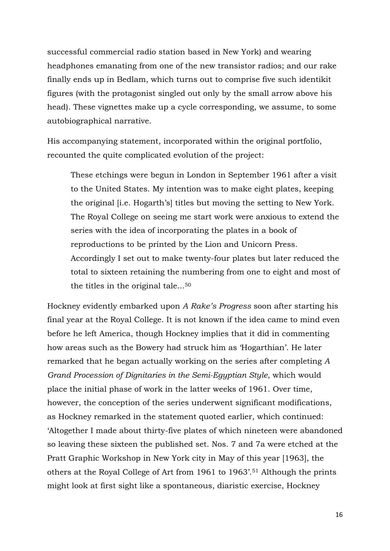successful commercial radio station based in New York) and wearing headphones emanating from one of the new transistor radios; and our rake finally ends up in Bedlam, which turns out to comprise five such identikit figures (with the protagonist singled out only by the small arrow above his head). These vignettes make up a cycle corresponding, we assume, to some autobiographical narrative.

His accompanying statement, incorporated within the original portfolio, recounted the quite complicated evolution of the project:

These etchings were begun in London in September 1961 after a visit to the United States. My intention was to make eight plates, keeping the original [i.e. Hogarth's] titles but moving the setting to New York. The Royal College on seeing me start work were anxious to extend the series with the idea of incorporating the plates in a book of reproductions to be printed by the Lion and Unicorn Press. Accordingly I set out to make twenty-four plates but later reduced the total to sixteen retaining the numbering from one to eight and most of the titles in the original tale...<sup>50</sup>

Hockney evidently embarked upon *A Rake's Progress* soon after starting his final year at the Royal College. It is not known if the idea came to mind even before he left America, though Hockney implies that it did in commenting how areas such as the Bowery had struck him as 'Hogarthian'. He later remarked that he began actually working on the series after completing *A Grand Procession of Dignitaries in the Semi-Egyptian Style*, which would place the initial phase of work in the latter weeks of 1961. Over time, however, the conception of the series underwent significant modifications, as Hockney remarked in the statement quoted earlier, which continued: 'Altogether I made about thirty-five plates of which nineteen were abandoned so leaving these sixteen the published set. Nos. 7 and 7a were etched at the Pratt Graphic Workshop in New York city in May of this year [1963], the others at the Royal College of Art from 1961 to 1963'.<sup>51</sup> Although the prints might look at first sight like a spontaneous, diaristic exercise, Hockney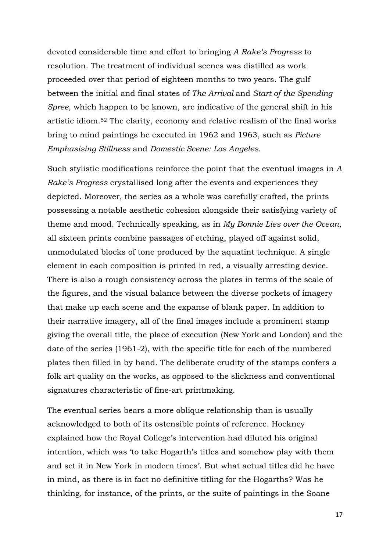devoted considerable time and effort to bringing *A Rake's Progress* to resolution. The treatment of individual scenes was distilled as work proceeded over that period of eighteen months to two years. The gulf between the initial and final states of *The Arrival* and *Start of the Spending Spree*, which happen to be known, are indicative of the general shift in his artistic idiom. <sup>52</sup> The clarity, economy and relative realism of the final works bring to mind paintings he executed in 1962 and 1963, such as *Picture Emphasising Stillness* and *Domestic Scene: Los Angeles*.

Such stylistic modifications reinforce the point that the eventual images in *A Rake's Progress* crystallised long after the events and experiences they depicted. Moreover*,* the series as a whole was carefully crafted, the prints possessing a notable aesthetic cohesion alongside their satisfying variety of theme and mood. Technically speaking, as in *My Bonnie Lies over the Ocean*, all sixteen prints combine passages of etching, played off against solid, unmodulated blocks of tone produced by the aquatint technique. A single element in each composition is printed in red, a visually arresting device. There is also a rough consistency across the plates in terms of the scale of the figures, and the visual balance between the diverse pockets of imagery that make up each scene and the expanse of blank paper. In addition to their narrative imagery, all of the final images include a prominent stamp giving the overall title, the place of execution (New York and London) and the date of the series (1961-2), with the specific title for each of the numbered plates then filled in by hand. The deliberate crudity of the stamps confers a folk art quality on the works, as opposed to the slickness and conventional signatures characteristic of fine-art printmaking.

The eventual series bears a more oblique relationship than is usually acknowledged to both of its ostensible points of reference. Hockney explained how the Royal College's intervention had diluted his original intention, which was 'to take Hogarth's titles and somehow play with them and set it in New York in modern times'. But what actual titles did he have in mind, as there is in fact no definitive titling for the Hogarths? Was he thinking, for instance, of the prints, or the suite of paintings in the Soane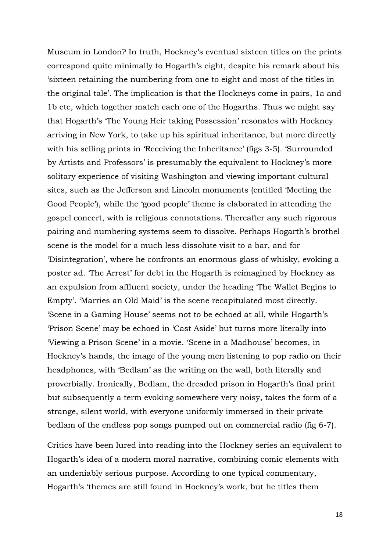Museum in London? In truth, Hockney's eventual sixteen titles on the prints correspond quite minimally to Hogarth's eight, despite his remark about his 'sixteen retaining the numbering from one to eight and most of the titles in the original tale'. The implication is that the Hockneys come in pairs, 1a and 1b etc, which together match each one of the Hogarths. Thus we might say that Hogarth's 'The Young Heir taking Possession' resonates with Hockney arriving in New York, to take up his spiritual inheritance, but more directly with his selling prints in 'Receiving the Inheritance' (figs 3-5). 'Surrounded by Artists and Professors' is presumably the equivalent to Hockney's more solitary experience of visiting Washington and viewing important cultural sites, such as the Jefferson and Lincoln monuments (entitled 'Meeting the Good People'), while the 'good people' theme is elaborated in attending the gospel concert, with is religious connotations. Thereafter any such rigorous pairing and numbering systems seem to dissolve. Perhaps Hogarth's brothel scene is the model for a much less dissolute visit to a bar, and for 'Disintegration', where he confronts an enormous glass of whisky, evoking a poster ad. 'The Arrest' for debt in the Hogarth is reimagined by Hockney as an expulsion from affluent society, under the heading 'The Wallet Begins to Empty'. 'Marries an Old Maid' is the scene recapitulated most directly. 'Scene in a Gaming House' seems not to be echoed at all, while Hogarth's 'Prison Scene' may be echoed in 'Cast Aside' but turns more literally into 'Viewing a Prison Scene' in a movie. 'Scene in a Madhouse' becomes, in Hockney's hands, the image of the young men listening to pop radio on their headphones, with 'Bedlam' as the writing on the wall, both literally and proverbially. Ironically, Bedlam, the dreaded prison in Hogarth's final print but subsequently a term evoking somewhere very noisy, takes the form of a strange, silent world, with everyone uniformly immersed in their private bedlam of the endless pop songs pumped out on commercial radio (fig 6-7).

Critics have been lured into reading into the Hockney series an equivalent to Hogarth's idea of a modern moral narrative, combining comic elements with an undeniably serious purpose. According to one typical commentary, Hogarth's 'themes are still found in Hockney's work, but he titles them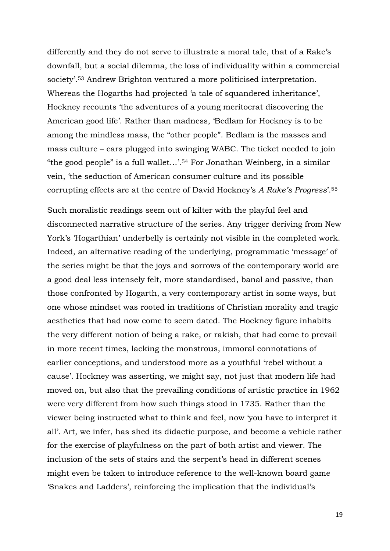differently and they do not serve to illustrate a moral tale, that of a Rake's downfall, but a social dilemma, the loss of individuality within a commercial society'.<sup>53</sup> Andrew Brighton ventured a more politicised interpretation. Whereas the Hogarths had projected 'a tale of squandered inheritance', Hockney recounts 'the adventures of a young meritocrat discovering the American good life'. Rather than madness, 'Bedlam for Hockney is to be among the mindless mass, the "other people". Bedlam is the masses and mass culture – ears plugged into swinging WABC. The ticket needed to join "the good people" is a full wallet…'. <sup>54</sup> For Jonathan Weinberg, in a similar vein, 'the seduction of American consumer culture and its possible corrupting effects are at the centre of David Hockney's *A Rake's Progress*'.<sup>55</sup>

Such moralistic readings seem out of kilter with the playful feel and disconnected narrative structure of the series. Any trigger deriving from New York's 'Hogarthian' underbelly is certainly not visible in the completed work. Indeed, an alternative reading of the underlying, programmatic 'message' of the series might be that the joys and sorrows of the contemporary world are a good deal less intensely felt, more standardised, banal and passive, than those confronted by Hogarth, a very contemporary artist in some ways, but one whose mindset was rooted in traditions of Christian morality and tragic aesthetics that had now come to seem dated. The Hockney figure inhabits the very different notion of being a rake, or rakish, that had come to prevail in more recent times, lacking the monstrous, immoral connotations of earlier conceptions, and understood more as a youthful 'rebel without a cause'. Hockney was asserting, we might say, not just that modern life had moved on, but also that the prevailing conditions of artistic practice in 1962 were very different from how such things stood in 1735. Rather than the viewer being instructed what to think and feel, now 'you have to interpret it all'. Art, we infer, has shed its didactic purpose, and become a vehicle rather for the exercise of playfulness on the part of both artist and viewer. The inclusion of the sets of stairs and the serpent's head in different scenes might even be taken to introduce reference to the well-known board game 'Snakes and Ladders', reinforcing the implication that the individual's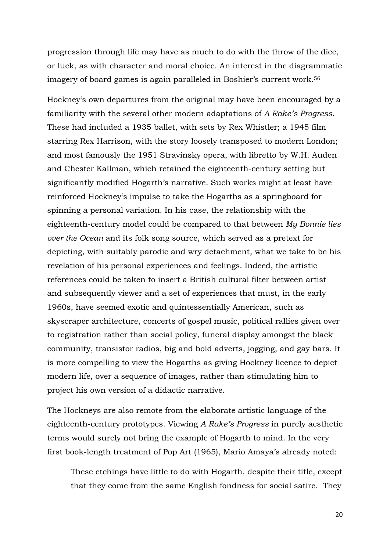progression through life may have as much to do with the throw of the dice, or luck, as with character and moral choice. An interest in the diagrammatic imagery of board games is again paralleled in Boshier's current work.<sup>56</sup>

Hockney's own departures from the original may have been encouraged by a familiarity with the several other modern adaptations of *A Rake's Progress*. These had included a 1935 ballet, with sets by Rex Whistler; a 1945 film starring Rex Harrison, with the story loosely transposed to modern London; and most famously the 1951 Stravinsky opera, with libretto by W.H. Auden and Chester Kallman, which retained the eighteenth-century setting but significantly modified Hogarth's narrative. Such works might at least have reinforced Hockney's impulse to take the Hogarths as a springboard for spinning a personal variation. In his case, the relationship with the eighteenth-century model could be compared to that between *My Bonnie lies over the Ocean* and its folk song source, which served as a pretext for depicting, with suitably parodic and wry detachment, what we take to be his revelation of his personal experiences and feelings. Indeed, the artistic references could be taken to insert a British cultural filter between artist and subsequently viewer and a set of experiences that must, in the early 1960s, have seemed exotic and quintessentially American, such as skyscraper architecture, concerts of gospel music, political rallies given over to registration rather than social policy, funeral display amongst the black community, transistor radios, big and bold adverts, jogging, and gay bars. It is more compelling to view the Hogarths as giving Hockney licence to depict modern life, over a sequence of images, rather than stimulating him to project his own version of a didactic narrative.

The Hockneys are also remote from the elaborate artistic language of the eighteenth-century prototypes. Viewing *A Rake's Progress* in purely aesthetic terms would surely not bring the example of Hogarth to mind. In the very first book-length treatment of Pop Art (1965), Mario Amaya's already noted:

These etchings have little to do with Hogarth, despite their title, except that they come from the same English fondness for social satire. They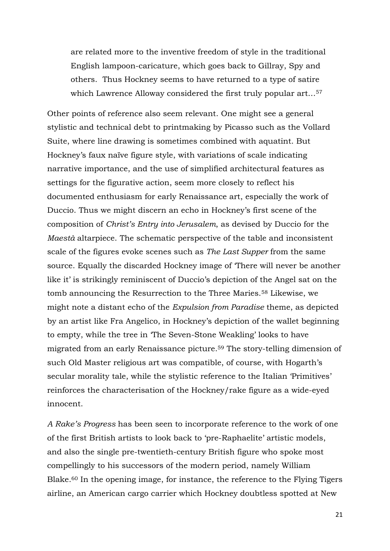are related more to the inventive freedom of style in the traditional English lampoon-caricature, which goes back to Gillray, Spy and others. Thus Hockney seems to have returned to a type of satire which Lawrence Alloway considered the first truly popular art...<sup>57</sup>

Other points of reference also seem relevant. One might see a general stylistic and technical debt to printmaking by Picasso such as the Vollard Suite, where line drawing is sometimes combined with aquatint. But Hockney's faux naïve figure style, with variations of scale indicating narrative importance, and the use of simplified architectural features as settings for the figurative action, seem more closely to reflect his documented enthusiasm for early Renaissance art, especially the work of Duccio. Thus we might discern an echo in Hockney's first scene of the composition of *Christ's Entry into Jerusalem*, as devised by Duccio for the *Maestà* altarpiece. The schematic perspective of the table and inconsistent scale of the figures evoke scenes such as *The Last Supper* from the same source. Equally the discarded Hockney image of 'There will never be another like it' is strikingly reminiscent of Duccio's depiction of the Angel sat on the tomb announcing the Resurrection to the Three Maries.<sup>58</sup> Likewise, we might note a distant echo of the *Expulsion from Paradise* theme, as depicted by an artist like Fra Angelico, in Hockney's depiction of the wallet beginning to empty, while the tree in 'The Seven-Stone Weakling' looks to have migrated from an early Renaissance picture.<sup>59</sup> The story-telling dimension of such Old Master religious art was compatible, of course, with Hogarth's secular morality tale, while the stylistic reference to the Italian 'Primitives' reinforces the characterisation of the Hockney/rake figure as a wide-eyed innocent.

*A Rake's Progress* has been seen to incorporate reference to the work of one of the first British artists to look back to 'pre-Raphaelite' artistic models, and also the single pre-twentieth-century British figure who spoke most compellingly to his successors of the modern period, namely William Blake.<sup>60</sup> In the opening image, for instance, the reference to the Flying Tigers airline, an American cargo carrier which Hockney doubtless spotted at New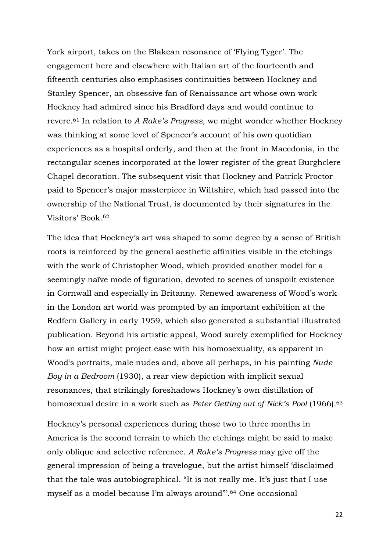York airport, takes on the Blakean resonance of 'Flying Tyger'. The engagement here and elsewhere with Italian art of the fourteenth and fifteenth centuries also emphasises continuities between Hockney and Stanley Spencer, an obsessive fan of Renaissance art whose own work Hockney had admired since his Bradford days and would continue to revere. <sup>61</sup> In relation to *A Rake's Progress*, we might wonder whether Hockney was thinking at some level of Spencer's account of his own quotidian experiences as a hospital orderly, and then at the front in Macedonia, in the rectangular scenes incorporated at the lower register of the great Burghclere Chapel decoration. The subsequent visit that Hockney and Patrick Proctor paid to Spencer's major masterpiece in Wiltshire, which had passed into the ownership of the National Trust, is documented by their signatures in the Visitors' Book.<sup>62</sup>

The idea that Hockney's art was shaped to some degree by a sense of British roots is reinforced by the general aesthetic affinities visible in the etchings with the work of Christopher Wood, which provided another model for a seemingly naïve mode of figuration, devoted to scenes of unspoilt existence in Cornwall and especially in Britanny. Renewed awareness of Wood's work in the London art world was prompted by an important exhibition at the Redfern Gallery in early 1959, which also generated a substantial illustrated publication. Beyond his artistic appeal, Wood surely exemplified for Hockney how an artist might project ease with his homosexuality, as apparent in Wood's portraits, male nudes and, above all perhaps, in his painting *Nude Boy in a Bedroom* (1930), a rear view depiction with implicit sexual resonances, that strikingly foreshadows Hockney's own distillation of homosexual desire in a work such as *Peter Getting out of Nick's Pool* (1966).<sup>63</sup>

Hockney's personal experiences during those two to three months in America is the second terrain to which the etchings might be said to make only oblique and selective reference. *A Rake's Progress* may give off the general impression of being a travelogue, but the artist himself 'disclaimed that the tale was autobiographical. "It is not really me. It's just that I use myself as a model because I'm always around"'. 64 One occasional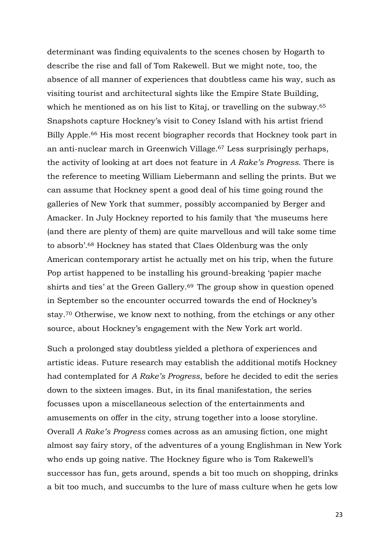determinant was finding equivalents to the scenes chosen by Hogarth to describe the rise and fall of Tom Rakewell. But we might note, too, the absence of all manner of experiences that doubtless came his way, such as visiting tourist and architectural sights like the Empire State Building, which he mentioned as on his list to Kitaj, or travelling on the subway. 65 Snapshots capture Hockney's visit to Coney Island with his artist friend Billy Apple.<sup>66</sup> His most recent biographer records that Hockney took part in an anti-nuclear march in Greenwich Village.<sup>67</sup> Less surprisingly perhaps, the activity of looking at art does not feature in *A Rake's Progress*. There is the reference to meeting William Liebermann and selling the prints. But we can assume that Hockney spent a good deal of his time going round the galleries of New York that summer, possibly accompanied by Berger and Amacker. In July Hockney reported to his family that 'the museums here (and there are plenty of them) are quite marvellous and will take some time to absorb'.<sup>68</sup> Hockney has stated that Claes Oldenburg was the only American contemporary artist he actually met on his trip, when the future Pop artist happened to be installing his ground-breaking 'papier mache shirts and ties' at the Green Gallery.<sup>69</sup> The group show in question opened in September so the encounter occurred towards the end of Hockney's stay.<sup>70</sup> Otherwise, we know next to nothing, from the etchings or any other source, about Hockney's engagement with the New York art world.

Such a prolonged stay doubtless yielded a plethora of experiences and artistic ideas. Future research may establish the additional motifs Hockney had contemplated for *A Rake's Progress*, before he decided to edit the series down to the sixteen images. But, in its final manifestation, the series focusses upon a miscellaneous selection of the entertainments and amusements on offer in the city, strung together into a loose storyline. Overall *A Rake's Progress* comes across as an amusing fiction, one might almost say fairy story, of the adventures of a young Englishman in New York who ends up going native. The Hockney figure who is Tom Rakewell's successor has fun, gets around, spends a bit too much on shopping, drinks a bit too much, and succumbs to the lure of mass culture when he gets low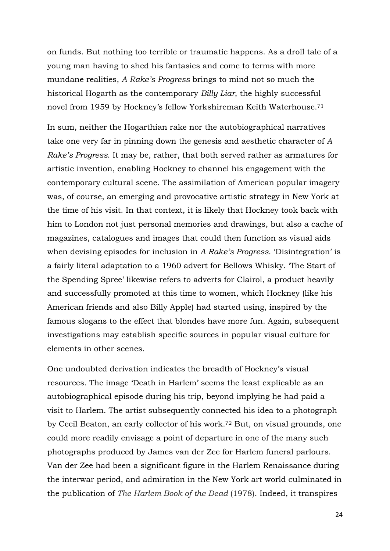on funds. But nothing too terrible or traumatic happens. As a droll tale of a young man having to shed his fantasies and come to terms with more mundane realities, *A Rake's Progress* brings to mind not so much the historical Hogarth as the contemporary *Billy Liar*, the highly successful novel from 1959 by Hockney's fellow Yorkshireman Keith Waterhouse.<sup>71</sup>

In sum, neither the Hogarthian rake nor the autobiographical narratives take one very far in pinning down the genesis and aesthetic character of *A Rake's Progress*. It may be, rather, that both served rather as armatures for artistic invention, enabling Hockney to channel his engagement with the contemporary cultural scene. The assimilation of American popular imagery was, of course, an emerging and provocative artistic strategy in New York at the time of his visit. In that context, it is likely that Hockney took back with him to London not just personal memories and drawings, but also a cache of magazines, catalogues and images that could then function as visual aids when devising episodes for inclusion in *A Rake's Progress*. 'Disintegration' is a fairly literal adaptation to a 1960 advert for Bellows Whisky. 'The Start of the Spending Spree' likewise refers to adverts for Clairol, a product heavily and successfully promoted at this time to women, which Hockney (like his American friends and also Billy Apple) had started using, inspired by the famous slogans to the effect that blondes have more fun. Again, subsequent investigations may establish specific sources in popular visual culture for elements in other scenes.

One undoubted derivation indicates the breadth of Hockney's visual resources. The image 'Death in Harlem' seems the least explicable as an autobiographical episode during his trip, beyond implying he had paid a visit to Harlem. The artist subsequently connected his idea to a photograph by Cecil Beaton, an early collector of his work. <sup>72</sup> But, on visual grounds, one could more readily envisage a point of departure in one of the many such photographs produced by James van der Zee for Harlem funeral parlours. Van der Zee had been a significant figure in the Harlem Renaissance during the interwar period, and admiration in the New York art world culminated in the publication of *The Harlem Book of the Dead* (1978). Indeed, it transpires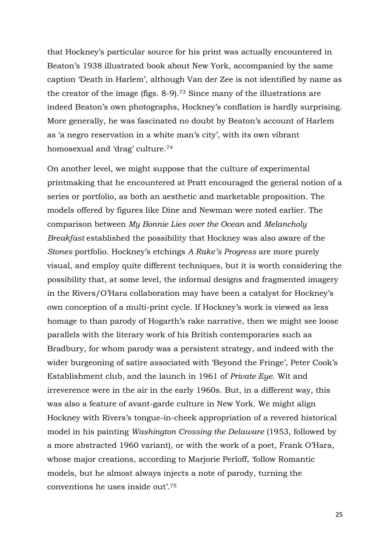that Hockney's particular source for his print was actually encountered in Beaton's 1938 illustrated book about New York, accompanied by the same caption 'Death in Harlem', although Van der Zee is not identified by name as the creator of the image (figs. 8-9).<sup>73</sup> Since many of the illustrations are indeed Beaton's own photographs, Hockney's conflation is hardly surprising. More generally, he was fascinated no doubt by Beaton's account of Harlem as 'a negro reservation in a white man's city', with its own vibrant homosexual and 'drag' culture.<sup>74</sup>

On another level, we might suppose that the culture of experimental printmaking that he encountered at Pratt encouraged the general notion of a series or portfolio, as both an aesthetic and marketable proposition. The models offered by figures like Dine and Newman were noted earlier. The comparison between *My Bonnie Lies over the Ocean* and *Melancholy Breakfast* established the possibility that Hockney was also aware of the *Stones* portfolio. Hockney's etchings *A Rake's Progress* are more purely visual, and employ quite different techniques, but it is worth considering the possibility that, at some level, the informal designs and fragmented imagery in the Rivers/O'Hara collaboration may have been a catalyst for Hockney's own conception of a multi-print cycle. If Hockney's work is viewed as less homage to than parody of Hogarth's rake narrative, then we might see loose parallels with the literary work of his British contemporaries such as Bradbury, for whom parody was a persistent strategy, and indeed with the wider burgeoning of satire associated with 'Beyond the Fringe', Peter Cook's Establishment club, and the launch in 1961 of *Private Eye*. Wit and irreverence were in the air in the early 1960s. But, in a different way, this was also a feature of avant-garde culture in New York. We might align Hockney with Rivers's tongue-in-cheek appropriation of a revered historical model in his painting *Washington Crossing the Delaware* (1953, followed by a more abstracted 1960 variant), or with the work of a poet, Frank O'Hara, whose major creations, according to Marjorie Perloff, 'follow Romantic models, but he almost always injects a note of parody, turning the conventions he uses inside out'.75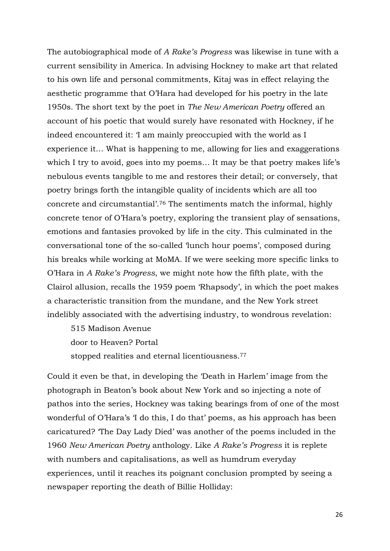The autobiographical mode of *A Rake's Progress* was likewise in tune with a current sensibility in America. In advising Hockney to make art that related to his own life and personal commitments, Kitaj was in effect relaying the aesthetic programme that O'Hara had developed for his poetry in the late 1950s. The short text by the poet in *The New American Poetry* offered an account of his poetic that would surely have resonated with Hockney, if he indeed encountered it: 'I am mainly preoccupied with the world as I experience it… What is happening to me, allowing for lies and exaggerations which I try to avoid, goes into my poems... It may be that poetry makes life's nebulous events tangible to me and restores their detail; or conversely, that poetry brings forth the intangible quality of incidents which are all too concrete and circumstantial'.<sup>76</sup> The sentiments match the informal, highly concrete tenor of O'Hara's poetry, exploring the transient play of sensations, emotions and fantasies provoked by life in the city. This culminated in the conversational tone of the so-called 'lunch hour poems', composed during his breaks while working at MoMA. If we were seeking more specific links to O'Hara in *A Rake's Progress*, we might note how the fifth plate, with the Clairol allusion, recalls the 1959 poem 'Rhapsody', in which the poet makes a characteristic transition from the mundane, and the New York street indelibly associated with the advertising industry, to wondrous revelation:

515 Madison Avenue door to Heaven? Portal stopped realities and eternal licentiousness.<sup>77</sup>

Could it even be that, in developing the 'Death in Harlem' image from the photograph in Beaton's book about New York and so injecting a note of pathos into the series, Hockney was taking bearings from of one of the most wonderful of O'Hara's 'I do this, I do that' poems, as his approach has been caricatured? 'The Day Lady Died' was another of the poems included in the 1960 *New American Poetry* anthology. Like *A Rake's Progress* it is replete with numbers and capitalisations, as well as humdrum everyday experiences, until it reaches its poignant conclusion prompted by seeing a newspaper reporting the death of Billie Holliday: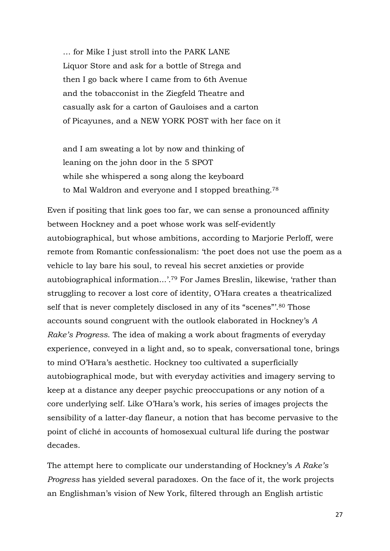… for Mike I just stroll into the PARK LANE Liquor Store and ask for a bottle of Strega and then I go back where I came from to 6th Avenue and the tobacconist in the Ziegfeld Theatre and casually ask for a carton of Gauloises and a carton of Picayunes, and a NEW YORK POST with her face on it

and I am sweating a lot by now and thinking of leaning on the john door in the 5 SPOT while she whispered a song along the keyboard to Mal Waldron and everyone and I stopped breathing.<sup>78</sup>

Even if positing that link goes too far, we can sense a pronounced affinity between Hockney and a poet whose work was self-evidently autobiographical, but whose ambitions, according to Marjorie Perloff, were remote from Romantic confessionalism: 'the poet does not use the poem as a vehicle to lay bare his soul, to reveal his secret anxieties or provide autobiographical information...'.<sup>79</sup> For James Breslin, likewise, 'rather than struggling to recover a lost core of identity, O'Hara creates a theatricalized self that is never completely disclosed in any of its "scenes"'.<sup>80</sup> Those accounts sound congruent with the outlook elaborated in Hockney's *A Rake's Progress*. The idea of making a work about fragments of everyday experience, conveyed in a light and, so to speak, conversational tone, brings to mind O'Hara's aesthetic. Hockney too cultivated a superficially autobiographical mode, but with everyday activities and imagery serving to keep at a distance any deeper psychic preoccupations or any notion of a core underlying self. Like O'Hara's work, his series of images projects the sensibility of a latter-day flaneur, a notion that has become pervasive to the point of cliché in accounts of homosexual cultural life during the postwar decades.

The attempt here to complicate our understanding of Hockney's *A Rake's Progress* has yielded several paradoxes. On the face of it, the work projects an Englishman's vision of New York, filtered through an English artistic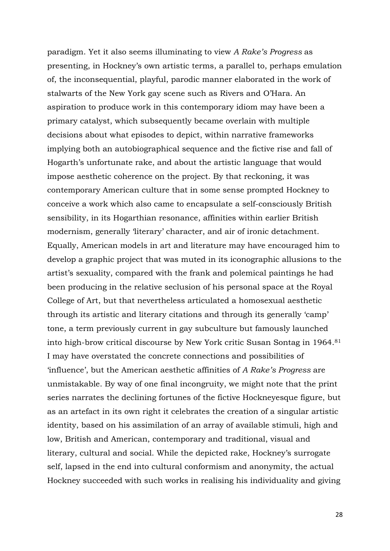paradigm. Yet it also seems illuminating to view *A Rake's Progress* as presenting, in Hockney's own artistic terms, a parallel to, perhaps emulation of, the inconsequential, playful, parodic manner elaborated in the work of stalwarts of the New York gay scene such as Rivers and O'Hara. An aspiration to produce work in this contemporary idiom may have been a primary catalyst, which subsequently became overlain with multiple decisions about what episodes to depict, within narrative frameworks implying both an autobiographical sequence and the fictive rise and fall of Hogarth's unfortunate rake, and about the artistic language that would impose aesthetic coherence on the project. By that reckoning, it was contemporary American culture that in some sense prompted Hockney to conceive a work which also came to encapsulate a self-consciously British sensibility, in its Hogarthian resonance, affinities within earlier British modernism, generally 'literary' character, and air of ironic detachment. Equally, American models in art and literature may have encouraged him to develop a graphic project that was muted in its iconographic allusions to the artist's sexuality, compared with the frank and polemical paintings he had been producing in the relative seclusion of his personal space at the Royal College of Art, but that nevertheless articulated a homosexual aesthetic through its artistic and literary citations and through its generally 'camp' tone, a term previously current in gay subculture but famously launched into high-brow critical discourse by New York critic Susan Sontag in 1964.<sup>81</sup> I may have overstated the concrete connections and possibilities of 'influence', but the American aesthetic affinities of *A Rake's Progress* are unmistakable. By way of one final incongruity, we might note that the print series narrates the declining fortunes of the fictive Hockneyesque figure, but as an artefact in its own right it celebrates the creation of a singular artistic identity, based on his assimilation of an array of available stimuli, high and low, British and American, contemporary and traditional, visual and literary, cultural and social. While the depicted rake, Hockney's surrogate self, lapsed in the end into cultural conformism and anonymity, the actual Hockney succeeded with such works in realising his individuality and giving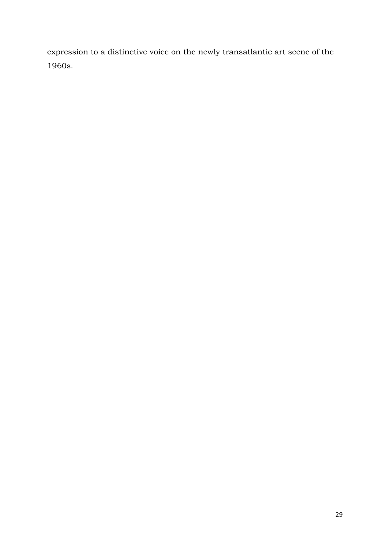expression to a distinctive voice on the newly transatlantic art scene of the 1960s.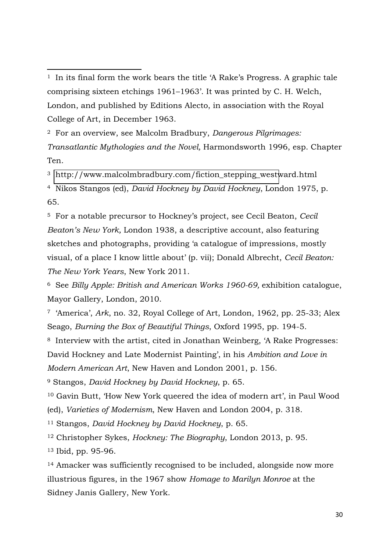<sup>1</sup> In its final form the work bears the title 'A Rake's Progress. A graphic tale comprising sixteen etchings 1961–1963'. It was printed by C. H. Welch, London, and published by Editions Alecto, in association with the Royal College of Art, in December 1963.

 $\overline{a}$ 

<sup>2</sup> For an overview, see Malcolm Bradbury, *Dangerous Pilgrimages: Transatlantic Mythologies and the Novel,* Harmondsworth 1996, esp. Chapter Ten.

<sup>3</sup> [http://www.malcolmbradbury.com/fiction\\_stepping\\_westw](http://www.malcolmbradbury.com/fiction_stepping_west)ard.html

<sup>4</sup> Nikos Stangos (ed), *David Hockney by David Hockney*, London 1975, p. 65.

<sup>5</sup> For a notable precursor to Hockney's project, see Cecil Beaton, *Cecil Beaton's New York,* London 1938, a descriptive account, also featuring sketches and photographs, providing 'a catalogue of impressions, mostly visual, of a place I know little about' (p. vii); Donald Albrecht, *Cecil Beaton: The New York Years*, New York 2011.

<sup>6</sup> See *Billy Apple: British and American Works 1960-69,* exhibition catalogue, Mayor Gallery, London, 2010.

<sup>7</sup> 'America', *Ark*, no. 32, Royal College of Art, London, 1962, pp. 25-33; Alex Seago, *Burning the Box of Beautiful Things*, Oxford 1995, pp. 194-5.

<sup>8</sup> Interview with the artist, cited in Jonathan Weinberg, 'A Rake Progresses: David Hockney and Late Modernist Painting', in his *Ambition and Love in Modern American Art*, New Haven and London 2001, p. 156.

<sup>9</sup> Stangos, *David Hockney by David Hockney*, p. 65.

<sup>10</sup> Gavin Butt, 'How New York queered the idea of modern art', in Paul Wood (ed), *Varieties of Modernism*, New Haven and London 2004, p. 318.

<sup>11</sup> Stangos, *David Hockney by David Hockney*, p. 65.

<sup>12</sup> Christopher Sykes, *Hockney: The Biography*, London 2013, p. 95. <sup>13</sup> Ibid, pp. 95-96.

<sup>14</sup> Amacker was sufficiently recognised to be included, alongside now more illustrious figures, in the 1967 show *Homage to Marilyn Monroe* at the Sidney Janis Gallery, New York.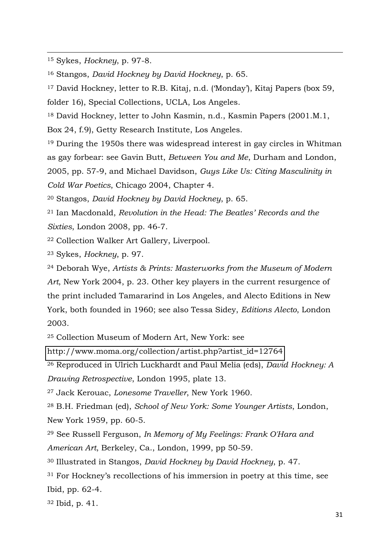<sup>15</sup> Sykes, *Hockney*, p. 97-8.

 $\overline{a}$ 

<sup>16</sup> Stangos, *David Hockney by David Hockney*, p. 65.

<sup>17</sup> David Hockney, letter to R.B. Kitaj, n.d. ('Monday'), Kitaj Papers (box 59,

folder 16), Special Collections, UCLA, Los Angeles.

<sup>18</sup> David Hockney, letter to John Kasmin, n.d., Kasmin Papers (2001.M.1,

Box 24, f.9), Getty Research Institute, Los Angeles.

<sup>19</sup> During the 1950s there was widespread interest in gay circles in Whitman as gay forbear: see Gavin Butt, *Between You and Me*, Durham and London,

2005, pp. 57-9, and Michael Davidson, *Guys Like Us: Citing Masculinity in Cold War Poetics*, Chicago 2004, Chapter 4.

<sup>20</sup> Stangos, *David Hockney by David Hockney*, p. 65.

<sup>21</sup> Ian Macdonald, *Revolution in the Head: The Beatles' Records and the Sixties*, London 2008, pp. 46-7.

<sup>22</sup> Collection Walker Art Gallery, Liverpool.

<sup>23</sup> Sykes, *Hockney*, p. 97.

<sup>24</sup> Deborah Wye, *Artists & Prints: Masterworks from the Museum of Modern Art*, New York 2004, p. 23. Other key players in the current resurgence of the print included Tamararind in Los Angeles, and Alecto Editions in New York, both founded in 1960; see also Tessa Sidey, *Editions Alecto*, London 2003.

<sup>25</sup> Collection Museum of Modern Art, New York: see

[http://www.moma.org/collection/artist.php?artist\\_id=12764](http://www.moma.org/collection/artist.php?artist_id=12764) 

<sup>26</sup> Reproduced in Ulrich Luckhardt and Paul Melia (eds), *David Hockney: A* 

*Drawing Retrospective*, London 1995, plate 13.

<sup>27</sup> Jack Kerouac, *Lonesome Traveller*, New York 1960.

<sup>28</sup> B.H. Friedman (ed), *School of New York: Some Younger Artists*, London, New York 1959, pp. 60-5.

<sup>29</sup> See Russell Ferguson, *In Memory of My Feelings: Frank O'Hara and American Art*, Berkeley, Ca., London, 1999, pp 50-59.

<sup>30</sup> Illustrated in Stangos, *David Hockney by David Hockney*, p. 47.

<sup>31</sup> For Hockney's recollections of his immersion in poetry at this time, see Ibid, pp. 62-4.

32 Ibid, p. 41.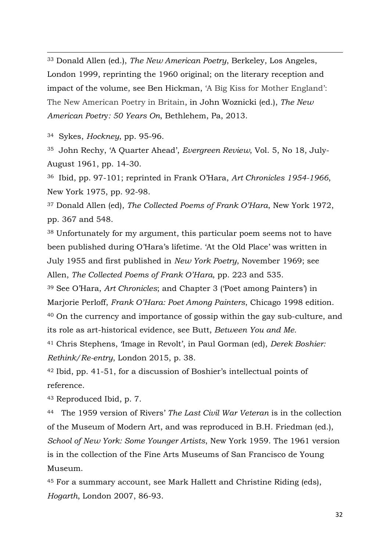<sup>33</sup> Donald Allen (ed.), *The New American Poetry*, Berkeley, Los Angeles, London 1999, reprinting the 1960 original; on the literary reception and impact of the volume, see Ben Hickman, 'A Big Kiss for Mother England': The New American Poetry in Britain, in John Woznicki (ed.), *The New American Poetr*y*: 50 Years On*, Bethlehem, Pa, 2013.

<sup>34</sup> Sykes, *Hockney*, pp. 95-96.

 $\overline{a}$ 

35 John Rechy, 'A Quarter Ahead', *Evergreen Review*, Vol. 5, No 18, July-August 1961, pp. 14-30.

<sup>36</sup> Ibid, pp. 97-101; reprinted in Frank O'Hara, *Art Chronicles 1954-1966*, New York 1975, pp. 92-98.

<sup>37</sup> Donald Allen (ed), *The Collected Poems of Frank O'Hara*, New York 1972, pp. 367 and 548.

<sup>38</sup> Unfortunately for my argument, this particular poem seems not to have been published during O'Hara's lifetime. 'At the Old Place' was written in July 1955 and first published in *New York Poetry*, November 1969; see Allen, *The Collected Poems of Frank O'Hara*, pp. 223 and 535.

<sup>39</sup> See O'Hara, *Art Chronicles*; and Chapter 3 ('Poet among Painters') in Marjorie Perloff, *Frank O'Hara: Poet Among Painters*, Chicago 1998 edition. <sup>40</sup> On the currency and importance of gossip within the gay sub-culture, and its role as art-historical evidence, see Butt, *Between You and Me.*

<sup>41</sup> Chris Stephens, 'Image in Revolt', in Paul Gorman (ed), *Derek Boshier: Rethink/Re-entry*, London 2015, p. 38.

<sup>42</sup> Ibid, pp. 41-51, for a discussion of Boshier's intellectual points of reference.

<sup>43</sup> Reproduced Ibid, p. 7.

<sup>44</sup> The 1959 version of Rivers' *The Last Civil War Veteran* is in the collection of the Museum of Modern Art, and was reproduced in B.H. Friedman (ed.), *School of New York: Some Younger Artists*, New York 1959. The 1961 version is in the collection of the Fine Arts Museums of San Francisco de Young Museum.

<sup>45</sup> For a summary account, see Mark Hallett and Christine Riding (eds), *Hogarth*, London 2007, 86-93.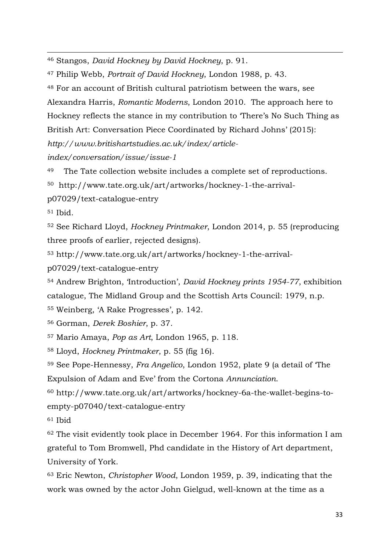<sup>46</sup> Stangos, *David Hockney by David Hockney*, p. 91.

<sup>47</sup> Philip Webb, *Portrait of David Hockney*, London 1988, p. 43.

<sup>48</sup> For an account of British cultural patriotism between the wars, see Alexandra Harris, *Romantic Moderns*, London 2010. The approach here to Hockney reflects the stance in my contribution to 'There's No Such Thing as British Art: Conversation Piece Coordinated by Richard Johns' (2015): *http://www.britishartstudies.ac.uk/index/article-*

*index/conversation/issue/issue-1*

<sup>49</sup> The Tate collection website includes a complete set of reproductions.

50 http://www.tate.org.uk/art/artworks/hockney-1-the-arrival-

p07029/text-catalogue-entry

<sup>51</sup> Ibid.

 $\overline{a}$ 

<sup>52</sup> See Richard Lloyd, *Hockney Printmaker*, London 2014, p. 55 (reproducing three proofs of earlier, rejected designs).

53 http://www.tate.org.uk/art/artworks/hockney-1-the-arrival-

p07029/text-catalogue-entry

<sup>54</sup> Andrew Brighton, 'Introduction', *David Hockney prints 1954-77*, exhibition catalogue, The Midland Group and the Scottish Arts Council: 1979, n.p.

<sup>55</sup> Weinberg, 'A Rake Progresses', p. 142.

<sup>56</sup> Gorman, *Derek Boshier*, p. 37.

<sup>57</sup> Mario Amaya, *Pop as Art*, London 1965, p. 118.

<sup>58</sup> Lloyd, *Hockney Printmaker*, p. 55 (fig 16).

<sup>59</sup> See Pope-Hennessy, *Fra Angelico*, London 1952, plate 9 (a detail of 'The Expulsion of Adam and Eve' from the Cortona *Annunciation*.

60 http://www.tate.org.uk/art/artworks/hockney-6a-the-wallet-begins-toempty-p07040/text-catalogue-entry

<sup>61</sup> Ibid

<sup>62</sup> The visit evidently took place in December 1964. For this information I am grateful to Tom Bromwell, Phd candidate in the History of Art department, University of York.

<sup>63</sup> Eric Newton, *Christopher Wood*, London 1959, p. 39, indicating that the work was owned by the actor John Gielgud, well-known at the time as a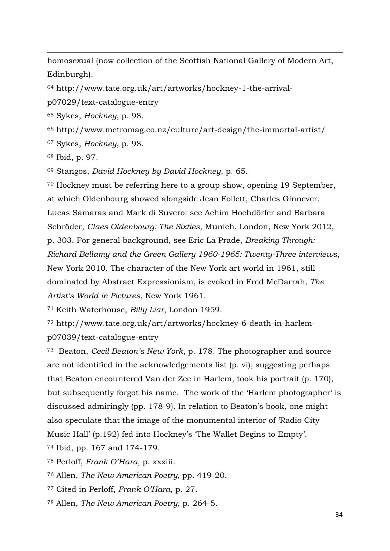homosexual (now collection of the Scottish National Gallery of Modern Art, Edinburgh).

64 http://www.tate.org.uk/art/artworks/hockney-1-the-arrival-

p07029/text-catalogue-entry

<sup>65</sup> Sykes, *Hockney*, p. 98.

<sup>66</sup> http://www.metromag.co.nz/culture/art-design/the-immortal-artist/

<sup>67</sup> Sykes, *Hockney*, p. 98.

<sup>68</sup> Ibid, p. 97.

 $\overline{a}$ 

<sup>69</sup> Stangos, *David Hockney by David Hockney*, p. 65.

<sup>70</sup> Hockney must be referring here to a group show, opening 19 September, at which Oldenbourg showed alongside Jean Follett, Charles Ginnever, Lucas Samaras and Mark di Suvero: see Achim Hochdörfer and Barbara Schröder, *Claes Oldenbourg: The Sixties*, Munich, London, New York 2012, p. 303. For general background, see Eric La Prade, *Breaking Through: Richard Bellamy and the Green Gallery 1960-1965: Twenty-Three interviews*, New York 2010. The character of the New York art world in 1961, still dominated by Abstract Expressionism, is evoked in Fred McDarrah, *The Artist's World in Pictures*, New York 1961.

<sup>71</sup> Keith Waterhouse, *Billy Liar*, London 1959.

72 http://www.tate.org.uk/art/artworks/hockney-6-death-in-harlemp07039/text-catalogue-entry

<sup>73</sup> Beaton, *Cecil Beaton's New York*, p. 178. The photographer and source are not identified in the acknowledgements list (p. vi), suggesting perhaps that Beaton encountered Van der Zee in Harlem, took his portrait (p. 170), but subsequently forgot his name. The work of the 'Harlem photographer' is discussed admiringly (pp. 178-9). In relation to Beaton's book, one might also speculate that the image of the monumental interior of 'Radio City Music Hall' (p.192) fed into Hockney's 'The Wallet Begins to Empty'.

<sup>74</sup> Ibid, pp. 167 and 174-179.

<sup>75</sup> Perloff, *Frank O'Hara*, p. xxxiii.

<sup>76</sup> Allen, *The New American Poetry,* pp. 419-20.

<sup>77</sup> Cited in Perloff, *Frank O'Hara*, p. 27.

78 Allen, *The New American Poetry*, p. 264-5.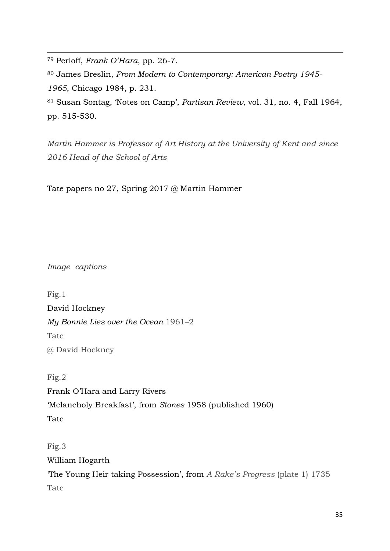<sup>79</sup> Perloff, *Frank O'Hara*, pp. 26-7.

 $\overline{a}$ 

<sup>80</sup> James Breslin, *From Modern to Contemporary: American Poetry 1945- 1965*, Chicago 1984, p. 231.

<sup>81</sup> Susan Sontag, 'Notes on Camp', *Partisan Review*, vol. 31, no. 4, Fall 1964, pp. 515-530.

*Martin Hammer is Professor of Art History at the University of Kent and since 2016 Head of the School of Arts* 

Tate papers no 27, Spring 2017 @ Martin Hammer

*Image captions* 

Fig.1 David Hockney *My Bonnie Lies over the Ocean* 1961–2 Tate @ David Hockney

Fig.2 Frank O'Hara and Larry Rivers 'Melancholy Breakfast', from *Stones* 1958 (published 1960) Tate

Fig.3 William Hogarth 'The Young Heir taking Possession', from *A Rake's Progress* (plate 1) 1735 Tate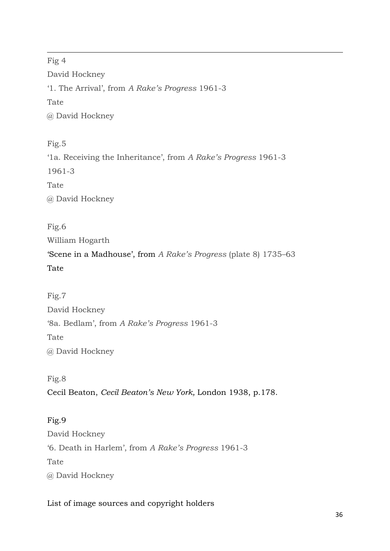Fig 4 David Hockney '1. The Arrival', from *A Rake's Progress* 1961-3 Tate @ David Hockney

 $\overline{a}$ 

Fig.5 '1a. Receiving the Inheritance', from *A Rake's Progress* 1961-3 1961-3 Tate @ David Hockney

Fig.6 William Hogarth 'Scene in a Madhouse', from *A Rake's Progress* (plate 8) 1735–63 Tate

Fig.7 David Hockney '8a. Bedlam', from *A Rake's Progress* 1961-3 Tate @ David Hockney

Fig.8 Cecil Beaton, *Cecil Beaton's New York,* London 1938, p.178.

Fig.9 David Hockney '6. Death in Harlem', from *A Rake's Progress* 1961-3 Tate @ David Hockney

List of image sources and copyright holders